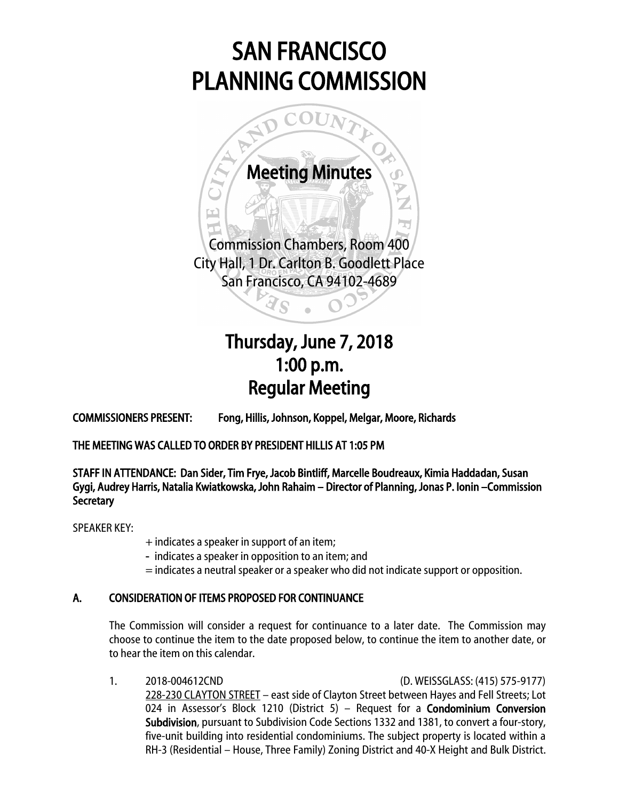# SAN FRANCISCO PLANNING COMMISSION



## Thursday, June 7, 2018 1:00 p.m. Regular Meeting

COMMISSIONERS PRESENT: Fong, Hillis, Johnson, Koppel, Melgar, Moore, Richards

THE MEETING WAS CALLED TO ORDER BY PRESIDENT HILLIS AT 1:05 PM

STAFF IN ATTENDANCE: Dan Sider, Tim Frye, Jacob Bintliff, Marcelle Boudreaux, Kimia Haddadan, Susan Gygi, Audrey Harris, Natalia Kwiatkowska, John Rahaim – Director of Planning, Jonas P. Ionin –Commission **Secretary** 

SPEAKER KEY:

- + indicates a speaker in support of an item;
- indicates a speaker in opposition to an item; and
- = indicates a neutral speaker or a speaker who did not indicate support or opposition.

### A. CONSIDERATION OF ITEMS PROPOSED FOR CONTINUANCE

The Commission will consider a request for continuance to a later date. The Commission may choose to continue the item to the date proposed below, to continue the item to another date, or to hear the item on this calendar.

1. 2018-004612CND (D. WEISSGLASS: (415) 575-9177) 228-230 CLAYTON STREET – east side of Clayton Street between Hayes and Fell Streets; Lot 024 in Assessor's Block 1210 (District 5) – Request for a **Condominium Conversion** Subdivision, pursuant to Subdivision Code Sections 1332 and 1381, to convert a four-story, five-unit building into residential condominiums. The subject property is located within a RH-3 (Residential – House, Three Family) Zoning District and 40-X Height and Bulk District.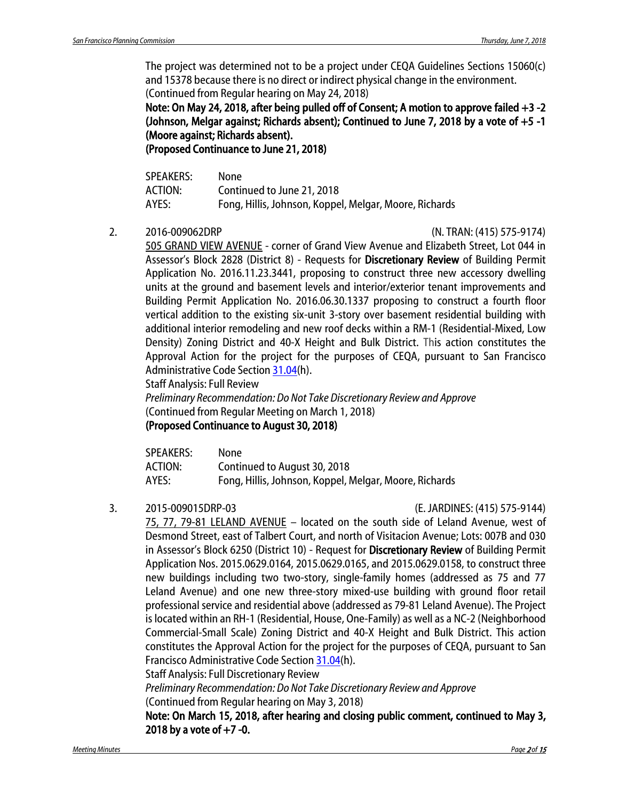The project was determined not to be a project under CEQA Guidelines Sections 15060(c) and 15378 because there is no direct or indirect physical change in the environment. (Continued from Regular hearing on May 24, 2018)

Note: On May 24, 2018, after being pulled off of Consent; A motion to approve failed +3 -2 (Johnson, Melgar against; Richards absent); Continued to June 7, 2018 by a vote of +5 -1 (Moore against; Richards absent).

(Proposed Continuance to June 21, 2018)

| <b>SPEAKERS:</b> | None                                                   |
|------------------|--------------------------------------------------------|
| ACTION:          | Continued to June 21, 2018                             |
| AYES:            | Fong, Hillis, Johnson, Koppel, Melgar, Moore, Richards |

2. 2016-009062DRP (N. TRAN: (415) 575-9174)

505 GRAND VIEW AVENUE - corner of Grand View Avenue and Elizabeth Street, Lot 044 in Assessor's Block 2828 (District 8) - Requests for Discretionary Review of Building Permit Application No. 2016.11.23.3441, proposing to construct three new accessory dwelling units at the ground and basement levels and interior/exterior tenant improvements and Building Permit Application No. 2016.06.30.1337 proposing to construct a fourth floor vertical addition to the existing six-unit 3-story over basement residential building with additional interior remodeling and new roof decks within a RM-1 (Residential-Mixed, Low Density) Zoning District and 40-X Height and Bulk District. This action constitutes the Approval Action for the project for the purposes of CEQA, pursuant to San Francisco Administrative Code Section [31.04\(](http://library.amlegal.com/nxt/gateway.dll/California/administrative/chapter31californiaenvironmentalqualitya?f=templates$fn=default.htm$3.0$vid=amlegal:sanfrancisco_ca$anc=JD_31.04)h).

Staff Analysis: Full Review

*Preliminary Recommendation: Do Not Take Discretionary Review and Approve* (Continued from Regular Meeting on March 1, 2018)

### (Proposed Continuance to August 30, 2018)

| SPEAKERS: | None                                                   |
|-----------|--------------------------------------------------------|
| ACTION:   | Continued to August 30, 2018                           |
| AYES:     | Fong, Hillis, Johnson, Koppel, Melgar, Moore, Richards |

3. 2015-009015DRP-03 (E. JARDINES: (415) 575-9144)

75, 77, 79-81 LELAND AVENUE – located on the south side of Leland Avenue, west of Desmond Street, east of Talbert Court, and north of Visitacion Avenue; Lots: 007B and 030 in Assessor's Block 6250 (District 10) - Request for Discretionary Review of Building Permit Application Nos. 2015.0629.0164, 2015.0629.0165, and 2015.0629.0158, to construct three new buildings including two two-story, single-family homes (addressed as 75 and 77 Leland Avenue) and one new three-story mixed-use building with ground floor retail professional service and residential above (addressed as 79-81 Leland Avenue). The Project is located within an RH-1 (Residential, House, One-Family) as well as a NC-2 (Neighborhood Commercial-Small Scale) Zoning District and 40-X Height and Bulk District. This action constitutes the Approval Action for the project for the purposes of CEQA, pursuant to San Francisco Administrative Code Section [31.04\(](http://library.amlegal.com/nxt/gateway.dll/California/administrative/chapter31californiaenvironmentalqualitya?f=templates$fn=default.htm$3.0$vid=amlegal:sanfrancisco_ca$anc=JD_31.04)h).

Staff Analysis: Full Discretionary Review

*Preliminary Recommendation: Do Not Take Discretionary Review and Approve* 

(Continued from Regular hearing on May 3, 2018)

Note: On March 15, 2018, after hearing and closing public comment, continued to May 3, 2018 by a vote of  $+7$  -0.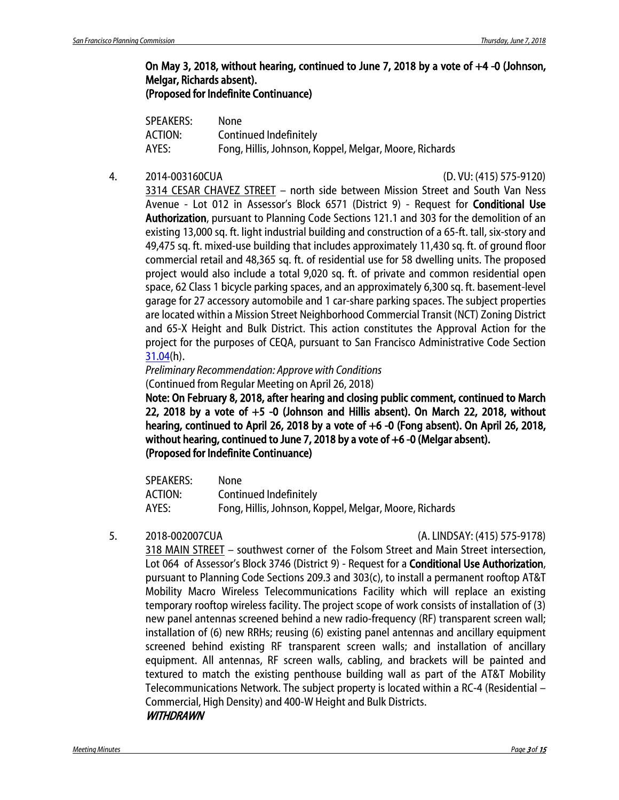#### On May 3, 2018, without hearing, continued to June 7, 2018 by a vote of +4 -0 (Johnson, Melgar, Richards absent). (Proposed for Indefinite Continuance)

| <b>SPEAKERS:</b> | None                                                   |
|------------------|--------------------------------------------------------|
| ACTION:          | Continued Indefinitely                                 |
| AYES:            | Fong, Hillis, Johnson, Koppel, Melgar, Moore, Richards |

#### 4. 2014-003160CUA (D. VU: (415) 575-9120)

3314 CESAR CHAVEZ STREET – north side between Mission Street and South Van Ness Avenue - Lot 012 in Assessor's Block 6571 (District 9) - Request for Conditional Use Authorization, pursuant to Planning Code Sections 121.1 and 303 for the demolition of an existing 13,000 sq. ft. light industrial building and construction of a 65-ft. tall, six-story and 49,475 sq. ft. mixed-use building that includes approximately 11,430 sq. ft. of ground floor commercial retail and 48,365 sq. ft. of residential use for 58 dwelling units. The proposed project would also include a total 9,020 sq. ft. of private and common residential open space, 62 Class 1 bicycle parking spaces, and an approximately 6,300 sq. ft. basement-level garage for 27 accessory automobile and 1 car-share parking spaces. The subject properties are located within a Mission Street Neighborhood Commercial Transit (NCT) Zoning District and 65-X Height and Bulk District. This action constitutes the Approval Action for the project for the purposes of CEQA, pursuant to San Francisco Administrative Code Section [31.04\(](http://library.amlegal.com/nxt/gateway.dll/California/administrative/chapter31californiaenvironmentalqualitya?f=templates$fn=default.htm$3.0$vid=amlegal:sanfrancisco_ca$anc=JD_31.04)h).

*Preliminary Recommendation: Approve with Conditions*  (Continued from Regular Meeting on April 26, 2018)

Note: On February 8, 2018, after hearing and closing public comment, continued to March 22, 2018 by a vote of +5 -0 (Johnson and Hillis absent). On March 22, 2018, without hearing, continued to April 26, 2018 by a vote of +6 -0 (Fong absent). On April 26, 2018, without hearing, continued to June 7, 2018 by a vote of +6 -0 (Melgar absent). (Proposed for Indefinite Continuance)

| <b>SPEAKERS:</b> | None                                                   |
|------------------|--------------------------------------------------------|
| ACTION:          | Continued Indefinitely                                 |
| AYES:            | Fong, Hillis, Johnson, Koppel, Melgar, Moore, Richards |

5. 2018-002007CUA (A. LINDSAY: (415) 575-9178)

318 MAIN STREET – southwest corner of the Folsom Street and Main Street intersection, Lot 064 of Assessor's Block 3746 (District 9) - Request for a **Conditional Use Authorization**, pursuant to Planning Code Sections 209.3 and 303(c), to install a permanent rooftop AT&T Mobility Macro Wireless Telecommunications Facility which will replace an existing temporary rooftop wireless facility. The project scope of work consists of installation of (3) new panel antennas screened behind a new radio-frequency (RF) transparent screen wall; installation of (6) new RRHs; reusing (6) existing panel antennas and ancillary equipment screened behind existing RF transparent screen walls; and installation of ancillary equipment. All antennas, RF screen walls, cabling, and brackets will be painted and textured to match the existing penthouse building wall as part of the AT&T Mobility Telecommunications Network. The subject property is located within a RC-4 (Residential – Commercial, High Density) and 400-W Height and Bulk Districts.

#### **WITHDRAWN**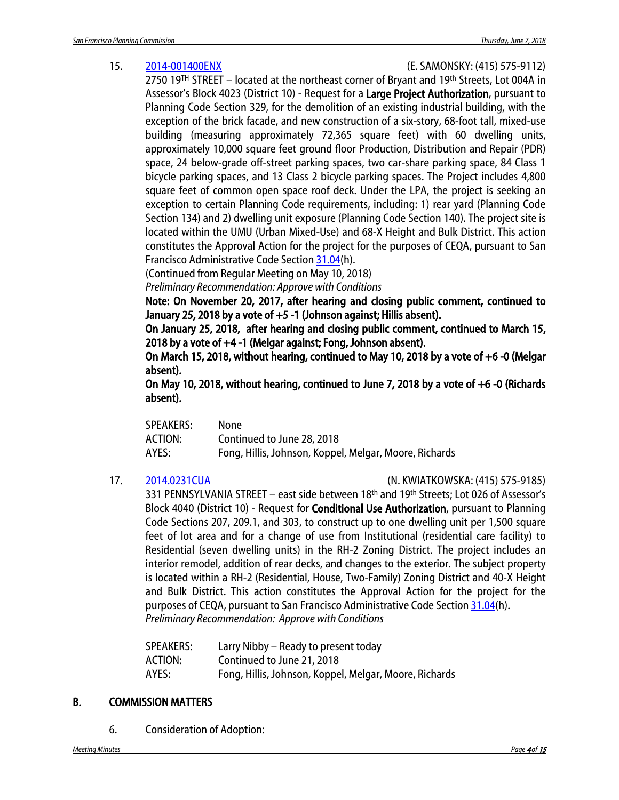#### 15. [2014-001400ENX](http://commissions.sfplanning.org/cpcpackets/2014-001400ENXc4.pdf) (E. SAMONSKY: (415) 575-9112)

2750 19<sup>TH</sup> STREET – located at the northeast corner of Bryant and 19<sup>th</sup> Streets, Lot 004A in Assessor's Block 4023 (District 10) - Request for a Large Project Authorization, pursuant to Planning Code Section 329, for the demolition of an existing industrial building, with the exception of the brick facade, and new construction of a six-story, 68-foot tall, mixed-use building (measuring approximately 72,365 square feet) with 60 dwelling units, approximately 10,000 square feet ground floor Production, Distribution and Repair (PDR) space, 24 below-grade off-street parking spaces, two car-share parking space, 84 Class 1 bicycle parking spaces, and 13 Class 2 bicycle parking spaces. The Project includes 4,800 square feet of common open space roof deck. Under the LPA, the project is seeking an exception to certain Planning Code requirements, including: 1) rear yard (Planning Code Section 134) and 2) dwelling unit exposure (Planning Code Section 140). The project site is located within the UMU (Urban Mixed-Use) and 68-X Height and Bulk District. This action constitutes the Approval Action for the project for the purposes of CEQA, pursuant to San Francisco Administrative Code Section [31.04\(](http://library.amlegal.com/nxt/gateway.dll/California/administrative/chapter31californiaenvironmentalqualitya?f=templates$fn=default.htm$3.0$vid=amlegal:sanfrancisco_ca$anc=JD_31.04)h).

(Continued from Regular Meeting on May 10, 2018)

*Preliminary Recommendation: Approve with Conditions*

Note: On November 20, 2017, after hearing and closing public comment, continued to January 25, 2018 by a vote of +5 -1 (Johnson against; Hillis absent).

On January 25, 2018, after hearing and closing public comment, continued to March 15, 2018 by a vote of +4 -1 (Melgar against; Fong, Johnson absent).

On March 15, 2018, without hearing, continued to May 10, 2018 by a vote of +6 -0 (Melgar absent).

On May 10, 2018, without hearing, continued to June 7, 2018 by a vote of +6 -0 (Richards absent).

| <b>SPEAKERS:</b> | None                                                   |
|------------------|--------------------------------------------------------|
| ACTION:          | Continued to June 28, 2018                             |
| AYES:            | Fong, Hillis, Johnson, Koppel, Melgar, Moore, Richards |

17. [2014.0231CUA](http://commissions.sfplanning.org/cpcpackets/2014.0231CUA.pdf) (N. KWIATKOWSKA: (415) 575-9185)

331 PENNSYLVANIA STREET - east side between 18<sup>th</sup> and 19<sup>th</sup> Streets; Lot 026 of Assessor's Block 4040 (District 10) - Request for **Conditional Use Authorization**, pursuant to Planning Code Sections 207, 209.1, and 303, to construct up to one dwelling unit per 1,500 square feet of lot area and for a change of use from Institutional (residential care facility) to Residential (seven dwelling units) in the RH-2 Zoning District. The project includes an interior remodel, addition of rear decks, and changes to the exterior. The subject property is located within a RH-2 (Residential, House, Two-Family) Zoning District and 40-X Height and Bulk District. This action constitutes the Approval Action for the project for the purposes of CEQA, pursuant to San Francisco Administrative Code Section [31.04\(](http://library.amlegal.com/nxt/gateway.dll/California/administrative/chapter31californiaenvironmentalqualitya?f=templates$fn=default.htm$3.0$vid=amlegal:sanfrancisco_ca$anc=JD_31.04)h). *Preliminary Recommendation: Approve with Conditions*

| SPEAKERS: | Larry Nibby – Ready to present today                   |
|-----------|--------------------------------------------------------|
| ACTION:   | Continued to June 21, 2018                             |
| AYES:     | Fong, Hillis, Johnson, Koppel, Melgar, Moore, Richards |

### B. COMMISSION MATTERS

6. Consideration of Adoption: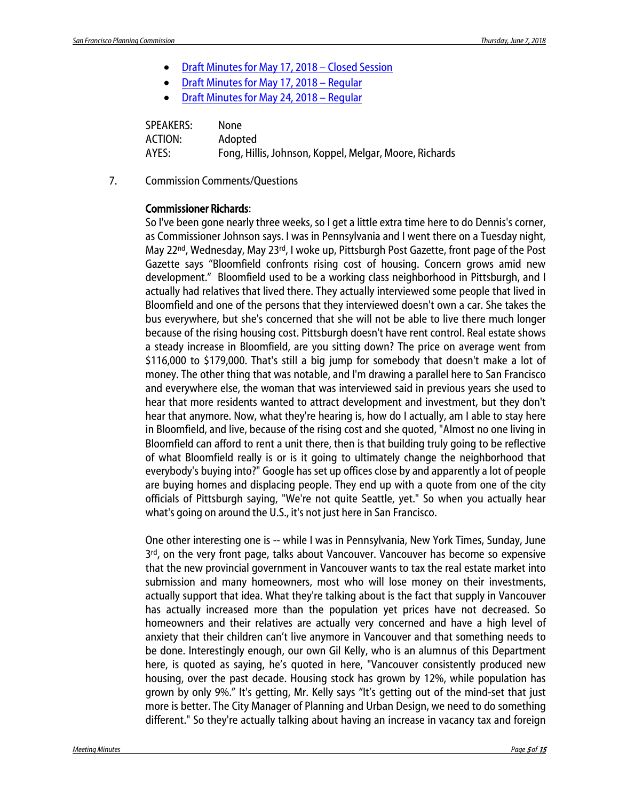- [Draft Minutes for May 17, 2018](http://commissions.sfplanning.org/cpcpackets/20180517_closedsession_min.pdf) Closed Session
- [Draft Minutes for May 17, 2018 –](http://commissions.sfplanning.org/cpcpackets/20180517_cal_min.pdf) Regular
- [Draft Minutes for May 24, 2018](http://commissions.sfplanning.org/cpcpackets/20180524_cal_min.pdf) Regular

| <b>SPEAKERS:</b> | None                                                   |
|------------------|--------------------------------------------------------|
| ACTION:          | Adopted                                                |
| AYES:            | Fong, Hillis, Johnson, Koppel, Melgar, Moore, Richards |

7. Commission Comments/Questions

#### Commissioner Richards:

So I've been gone nearly three weeks, so I get a little extra time here to do Dennis's corner, as Commissioner Johnson says. I was in Pennsylvania and I went there on a Tuesday night, May 22<sup>nd</sup>, Wednesday, May 23<sup>rd</sup>, I woke up, Pittsburgh Post Gazette, front page of the Post Gazette says "Bloomfield confronts rising cost of housing. Concern grows amid new development." Bloomfield used to be a working class neighborhood in Pittsburgh, and I actually had relatives that lived there. They actually interviewed some people that lived in Bloomfield and one of the persons that they interviewed doesn't own a car. She takes the bus everywhere, but she's concerned that she will not be able to live there much longer because of the rising housing cost. Pittsburgh doesn't have rent control. Real estate shows a steady increase in Bloomfield, are you sitting down? The price on average went from \$116,000 to \$179,000. That's still a big jump for somebody that doesn't make a lot of money. The other thing that was notable, and I'm drawing a parallel here to San Francisco and everywhere else, the woman that was interviewed said in previous years she used to hear that more residents wanted to attract development and investment, but they don't hear that anymore. Now, what they're hearing is, how do I actually, am I able to stay here in Bloomfield, and live, because of the rising cost and she quoted, "Almost no one living in Bloomfield can afford to rent a unit there, then is that building truly going to be reflective of what Bloomfield really is or is it going to ultimately change the neighborhood that everybody's buying into?" Google has set up offices close by and apparently a lot of people are buying homes and displacing people. They end up with a quote from one of the city officials of Pittsburgh saying, "We're not quite Seattle, yet." So when you actually hear what's going on around the U.S., it's not just here in San Francisco.

One other interesting one is -- while I was in Pennsylvania, New York Times, Sunday, June  $3<sup>rd</sup>$ , on the very front page, talks about Vancouver. Vancouver has become so expensive that the new provincial government in Vancouver wants to tax the real estate market into submission and many homeowners, most who will lose money on their investments, actually support that idea. What they're talking about is the fact that supply in Vancouver has actually increased more than the population yet prices have not decreased. So homeowners and their relatives are actually very concerned and have a high level of anxiety that their children can't live anymore in Vancouver and that something needs to be done. Interestingly enough, our own Gil Kelly, who is an alumnus of this Department here, is quoted as saying, he's quoted in here, "Vancouver consistently produced new housing, over the past decade. Housing stock has grown by 12%, while population has grown by only 9%." It's getting, Mr. Kelly says "It's getting out of the mind-set that just more is better. The City Manager of Planning and Urban Design, we need to do something different." So they're actually talking about having an increase in vacancy tax and foreign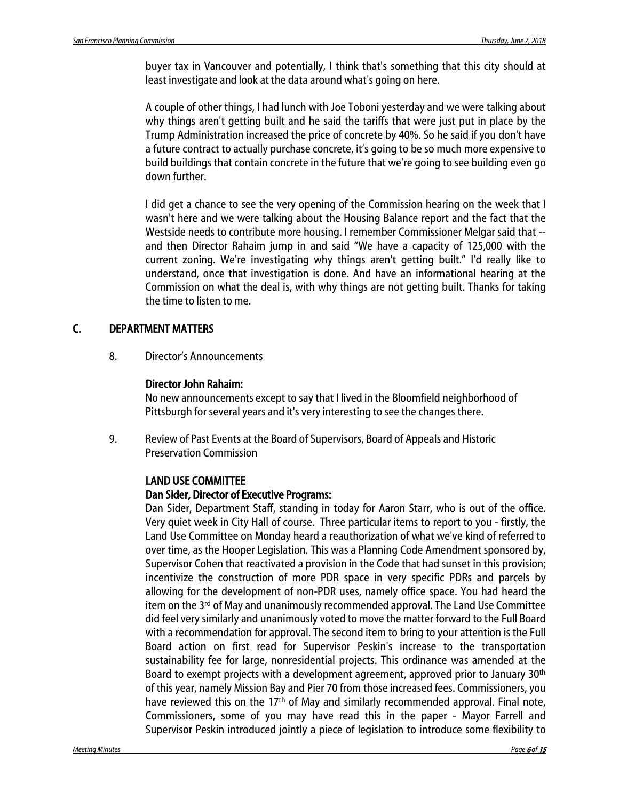buyer tax in Vancouver and potentially, I think that's something that this city should at least investigate and look at the data around what's going on here.

A couple of other things, I had lunch with Joe Toboni yesterday and we were talking about why things aren't getting built and he said the tariffs that were just put in place by the Trump Administration increased the price of concrete by 40%. So he said if you don't have a future contract to actually purchase concrete, it's going to be so much more expensive to build buildings that contain concrete in the future that we're going to see building even go down further.

I did get a chance to see the very opening of the Commission hearing on the week that I wasn't here and we were talking about the Housing Balance report and the fact that the Westside needs to contribute more housing. I remember Commissioner Melgar said that - and then Director Rahaim jump in and said "We have a capacity of 125,000 with the current zoning. We're investigating why things aren't getting built." I'd really like to understand, once that investigation is done. And have an informational hearing at the Commission on what the deal is, with why things are not getting built. Thanks for taking the time to listen to me.

### C. DEPARTMENT MATTERS

8. Director's Announcements

#### Director John Rahaim:

No new announcements except to say that I lived in the Bloomfield neighborhood of Pittsburgh for several years and it's very interesting to see the changes there.

9. Review of Past Events at the Board of Supervisors, Board of Appeals and Historic Preservation Commission

### LAND USE COMMITTEE

#### Dan Sider, Director of Executive Programs:

Dan Sider, Department Staff, standing in today for Aaron Starr, who is out of the office. Very quiet week in City Hall of course. Three particular items to report to you - firstly, the Land Use Committee on Monday heard a reauthorization of what we've kind of referred to over time, as the Hooper Legislation. This was a Planning Code Amendment sponsored by, Supervisor Cohen that reactivated a provision in the Code that had sunset in this provision; incentivize the construction of more PDR space in very specific PDRs and parcels by allowing for the development of non-PDR uses, namely office space. You had heard the item on the 3<sup>rd</sup> of May and unanimously recommended approval. The Land Use Committee did feel very similarly and unanimously voted to move the matter forward to the Full Board with a recommendation for approval. The second item to bring to your attention is the Full Board action on first read for Supervisor Peskin's increase to the transportation sustainability fee for large, nonresidential projects. This ordinance was amended at the Board to exempt projects with a development agreement, approved prior to January 30<sup>th</sup> of this year, namely Mission Bay and Pier 70 from those increased fees. Commissioners, you have reviewed this on the 17<sup>th</sup> of May and similarly recommended approval. Final note, Commissioners, some of you may have read this in the paper - Mayor Farrell and Supervisor Peskin introduced jointly a piece of legislation to introduce some flexibility to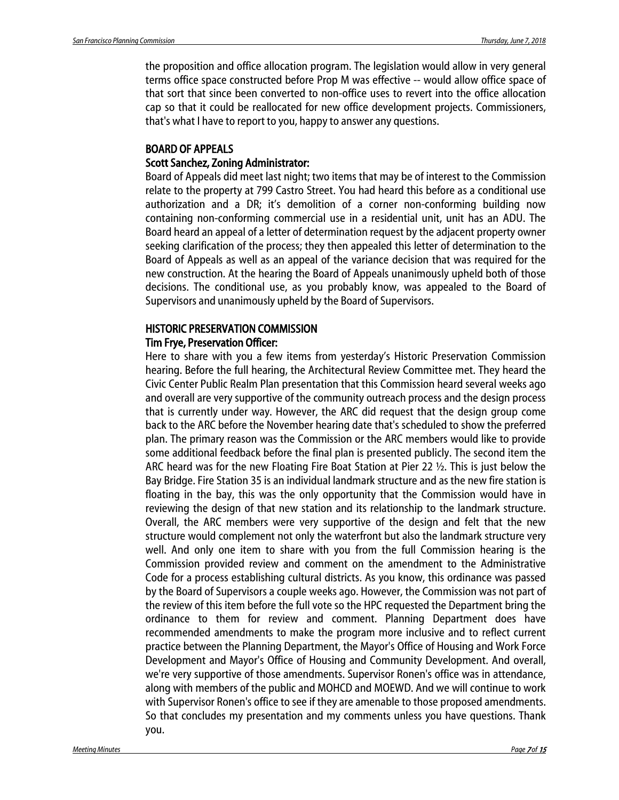the proposition and office allocation program. The legislation would allow in very general terms office space constructed before Prop M was effective -- would allow office space of that sort that since been converted to non-office uses to revert into the office allocation cap so that it could be reallocated for new office development projects. Commissioners, that's what I have to report to you, happy to answer any questions.

#### BOARD OF APPEALS Scott Sanchez, Zoning Administrator:

Board of Appeals did meet last night; two items that may be of interest to the Commission relate to the property at 799 Castro Street. You had heard this before as a conditional use authorization and a DR; it's demolition of a corner non-conforming building now containing non-conforming commercial use in a residential unit, unit has an ADU. The Board heard an appeal of a letter of determination request by the adjacent property owner seeking clarification of the process; they then appealed this letter of determination to the Board of Appeals as well as an appeal of the variance decision that was required for the new construction. At the hearing the Board of Appeals unanimously upheld both of those decisions. The conditional use, as you probably know, was appealed to the Board of Supervisors and unanimously upheld by the Board of Supervisors.

#### HISTORIC PRESERVATION COMMISSION Tim Frye, Preservation Officer:

#### Here to share with you a few items from yesterday's Historic Preservation Commission hearing. Before the full hearing, the Architectural Review Committee met. They heard the Civic Center Public Realm Plan presentation that this Commission heard several weeks ago and overall are very supportive of the community outreach process and the design process that is currently under way. However, the ARC did request that the design group come back to the ARC before the November hearing date that's scheduled to show the preferred plan. The primary reason was the Commission or the ARC members would like to provide some additional feedback before the final plan is presented publicly. The second item the ARC heard was for the new Floating Fire Boat Station at Pier 22 ½. This is just below the Bay Bridge. Fire Station 35 is an individual landmark structure and as the new fire station is floating in the bay, this was the only opportunity that the Commission would have in reviewing the design of that new station and its relationship to the landmark structure. Overall, the ARC members were very supportive of the design and felt that the new structure would complement not only the waterfront but also the landmark structure very well. And only one item to share with you from the full Commission hearing is the Commission provided review and comment on the amendment to the Administrative Code for a process establishing cultural districts. As you know, this ordinance was passed by the Board of Supervisors a couple weeks ago. However, the Commission was not part of the review of this item before the full vote so the HPC requested the Department bring the ordinance to them for review and comment. Planning Department does have recommended amendments to make the program more inclusive and to reflect current practice between the Planning Department, the Mayor's Office of Housing and Work Force Development and Mayor's Office of Housing and Community Development. And overall, we're very supportive of those amendments. Supervisor Ronen's office was in attendance, along with members of the public and MOHCD and MOEWD. And we will continue to work with Supervisor Ronen's office to see if they are amenable to those proposed amendments. So that concludes my presentation and my comments unless you have questions. Thank you.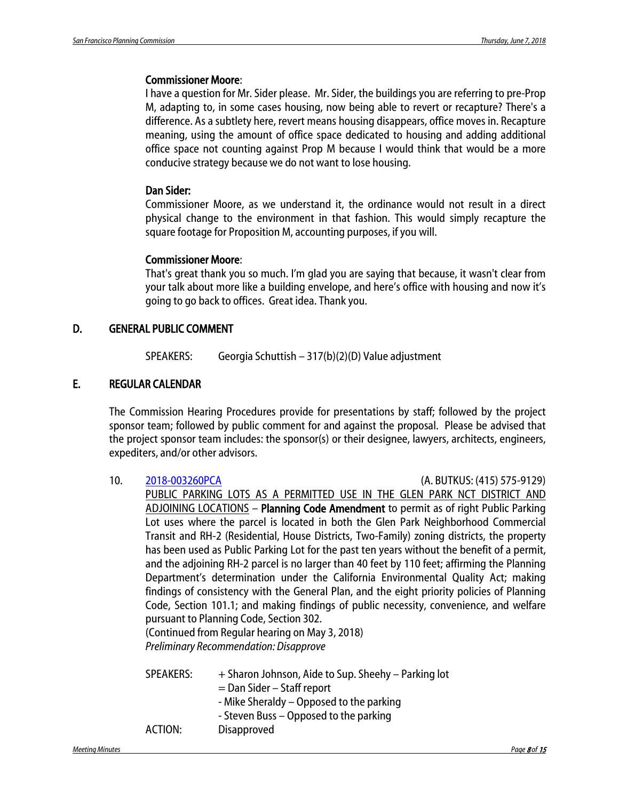#### Commissioner Moore:

I have a question for Mr. Sider please. Mr. Sider, the buildings you are referring to pre-Prop M, adapting to, in some cases housing, now being able to revert or recapture? There's a difference. As a subtlety here, revert means housing disappears, office moves in. Recapture meaning, using the amount of office space dedicated to housing and adding additional office space not counting against Prop M because I would think that would be a more conducive strategy because we do not want to lose housing.

#### Dan Sider:

Commissioner Moore, as we understand it, the ordinance would not result in a direct physical change to the environment in that fashion. This would simply recapture the square footage for Proposition M, accounting purposes, if you will.

#### Commissioner Moore:

That's great thank you so much. I'm glad you are saying that because, it wasn't clear from your talk about more like a building envelope, and here's office with housing and now it's going to go back to offices. Great idea. Thank you.

#### D. GENERAL PUBLIC COMMENT

SPEAKERS: Georgia Schuttish – 317(b)(2)(D) Value adjustment

#### E. REGULAR CALENDAR

The Commission Hearing Procedures provide for presentations by staff; followed by the project sponsor team; followed by public comment for and against the proposal. Please be advised that the project sponsor team includes: the sponsor(s) or their designee, lawyers, architects, engineers, expediters, and/or other advisors.

| 10. | 2018-003260PCA                                                                             |                                                                                             |  | (A. BUTKUS: (415) 575-9129) |  |
|-----|--------------------------------------------------------------------------------------------|---------------------------------------------------------------------------------------------|--|-----------------------------|--|
|     |                                                                                            | PUBLIC PARKING LOTS AS A PERMITTED USE IN THE GLEN PARK NCT DISTRICT AND                    |  |                             |  |
|     |                                                                                            | ADJOINING LOCATIONS - Planning Code Amendment to permit as of right Public Parking          |  |                             |  |
|     |                                                                                            | Lot uses where the parcel is located in both the Glen Park Neighborhood Commercial          |  |                             |  |
|     |                                                                                            | Transit and RH-2 (Residential, House Districts, Two-Family) zoning districts, the property  |  |                             |  |
|     |                                                                                            | has been used as Public Parking Lot for the past ten years without the benefit of a permit, |  |                             |  |
|     |                                                                                            | and the adjoining RH-2 parcel is no larger than 40 feet by 110 feet; affirming the Planning |  |                             |  |
|     |                                                                                            | Department's determination under the California Environmental Quality Act; making           |  |                             |  |
|     | findings of consistency with the General Plan, and the eight priority policies of Planning |                                                                                             |  |                             |  |
|     |                                                                                            | Code, Section 101.1; and making findings of public necessity, convenience, and welfare      |  |                             |  |
|     |                                                                                            | pursuant to Planning Code, Section 302.                                                     |  |                             |  |
|     |                                                                                            | (Continued from Regular hearing on May 3, 2018)                                             |  |                             |  |
|     |                                                                                            | <b>Preliminary Recommendation: Disapprove</b>                                               |  |                             |  |
|     | <b>SPEAKERS:</b>                                                                           | + Sharon Johnson, Aide to Sup. Sheehy – Parking lot                                         |  |                             |  |
|     |                                                                                            | = Dan Sider - Staff report                                                                  |  |                             |  |
|     |                                                                                            | - Mike Sheraldy – Opposed to the parking                                                    |  |                             |  |
|     |                                                                                            | - Steven Buss – Opposed to the parking                                                      |  |                             |  |
|     | ACTION:                                                                                    | Disapproved                                                                                 |  |                             |  |
|     |                                                                                            |                                                                                             |  |                             |  |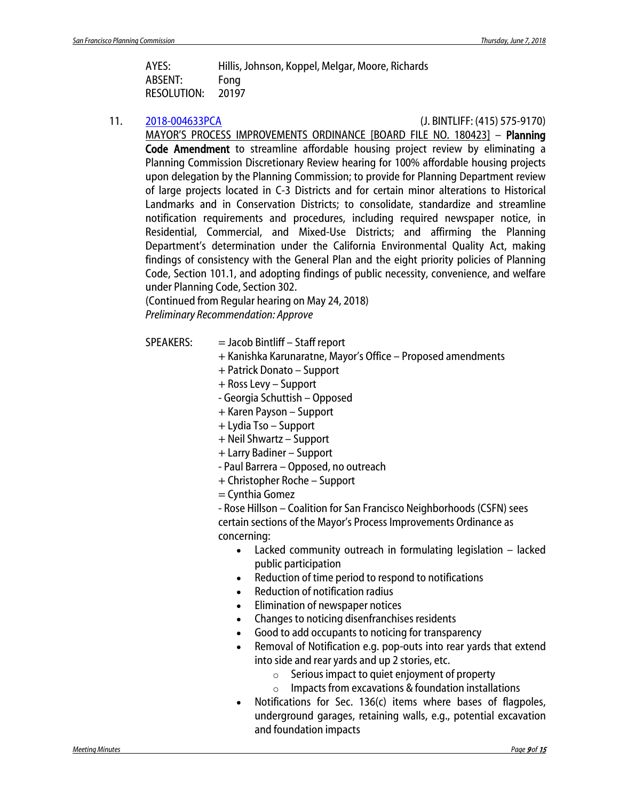| AYES:              | Hillis, Johnson, Koppel, Melgar, Moore, Richards |
|--------------------|--------------------------------------------------|
| ABSENT:            | Fong                                             |
| <b>RESOLUTION:</b> | 20197                                            |

11. [2018-004633PCA](http://commissions.sfplanning.org/cpcpackets/2018-004633PCA-03.pdf) (J. BINTLIFF: (415) 575-9170)

MAYOR'S PROCESS IMPROVEMENTS ORDINANCE [BOARD FILE NO. 180423] – Planning Code Amendment to streamline affordable housing project review by eliminating a Planning Commission Discretionary Review hearing for 100% affordable housing projects upon delegation by the Planning Commission; to provide for Planning Department review of large projects located in C-3 Districts and for certain minor alterations to Historical Landmarks and in Conservation Districts; to consolidate, standardize and streamline notification requirements and procedures, including required newspaper notice, in Residential, Commercial, and Mixed-Use Districts; and affirming the Planning Department's determination under the California Environmental Quality Act, making findings of consistency with the General Plan and the eight priority policies of Planning Code, Section 101.1, and adopting findings of public necessity, convenience, and welfare under Planning Code, Section 302.

(Continued from Regular hearing on May 24, 2018) *Preliminary Recommendation: Approve*

- $SPEAKERS:$  = Jacob Bintliff Staff report
	- + Kanishka Karunaratne, Mayor's Office Proposed amendments
	- + Patrick Donato Support
	- + Ross Levy Support
	- Georgia Schuttish Opposed
	- + Karen Payson Support
	- + Lydia Tso Support
	- + Neil Shwartz Support
	- + Larry Badiner Support
	- Paul Barrera Opposed, no outreach
	- + Christopher Roche Support
	- = Cynthia Gomez

- Rose Hillson – Coalition for San Francisco Neighborhoods (CSFN) sees certain sections of the Mayor's Process Improvements Ordinance as concerning:

- Lacked community outreach in formulating legislation lacked public participation
- Reduction of time period to respond to notifications
- Reduction of notification radius
- Elimination of newspaper notices
- Changes to noticing disenfranchises residents
- Good to add occupants to noticing for transparency
- Removal of Notification e.g. pop-outs into rear yards that extend into side and rear yards and up 2 stories, etc.
	- $\circ$  Serious impact to quiet enjoyment of property
	- $\circ$  Impacts from excavations & foundation installations
- Notifications for Sec. 136(c) items where bases of flagpoles, underground garages, retaining walls, e.g., potential excavation and foundation impacts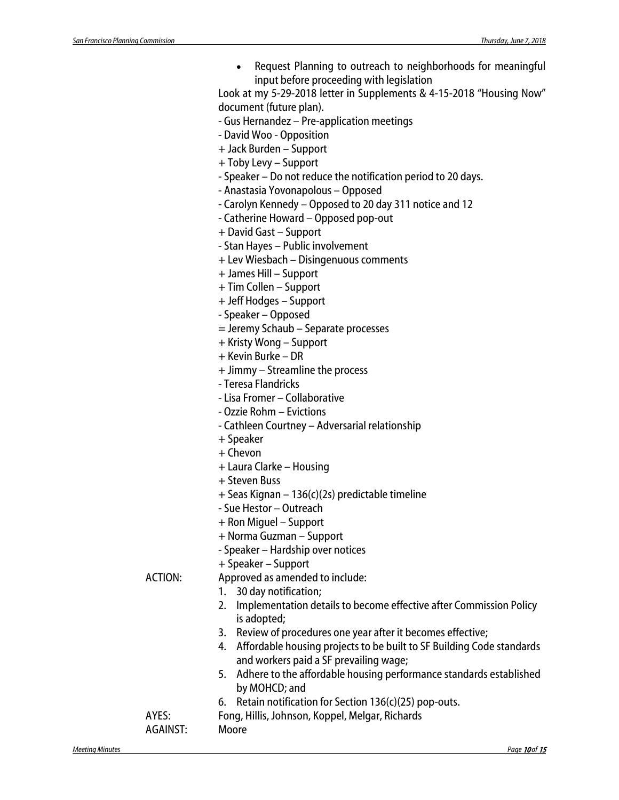| Request Planning to outreach to neighborhoods for meaningful |
|--------------------------------------------------------------|
| input before proceeding with legislation                     |

Look at my 5-29-2018 letter in Supplements & 4-15-2018 "Housing Now" document (future plan).

- Gus Hernandez Pre-application meetings
- David Woo Opposition
- + Jack Burden Support
- + Toby Levy Support
- Speaker Do not reduce the notification period to 20 days.
- Anastasia Yovonapolous Opposed
- Carolyn Kennedy Opposed to 20 day 311 notice and 12
- Catherine Howard Opposed pop-out
- + David Gast Support
- Stan Hayes Public involvement
- + Lev Wiesbach Disingenuous comments
- + James Hill Support
- + Tim Collen Support
- + Jeff Hodges Support
- Speaker Opposed
- = Jeremy Schaub Separate processes
- + Kristy Wong Support
- + Kevin Burke DR
- + Jimmy Streamline the process
- Teresa Flandricks
- Lisa Fromer Collaborative
- Ozzie Rohm Evictions
- Cathleen Courtney Adversarial relationship
- + Speaker
- $+$  Chevon
- + Laura Clarke Housing
- + Steven Buss
- + Seas Kignan 136(c)(2s) predictable timeline
- Sue Hestor Outreach
- + Ron Miguel Support
- + Norma Guzman Support
- Speaker Hardship over notices
- + Speaker Support

ACTION: Approved as amended to include:

- 1. 30 day notification;
- 2. Implementation details to become effective after Commission Policy is adopted;
- 3. Review of procedures one year after it becomes effective;
- 4. Affordable housing projects to be built to SF Building Code standards and workers paid a SF prevailing wage;
- 5. Adhere to the affordable housing performance standards established by MOHCD; and
- 6. Retain notification for Section 136(c)(25) pop-outs.
- AYES: Fong, Hillis, Johnson, Koppel, Melgar, Richards

AGAINST: Moore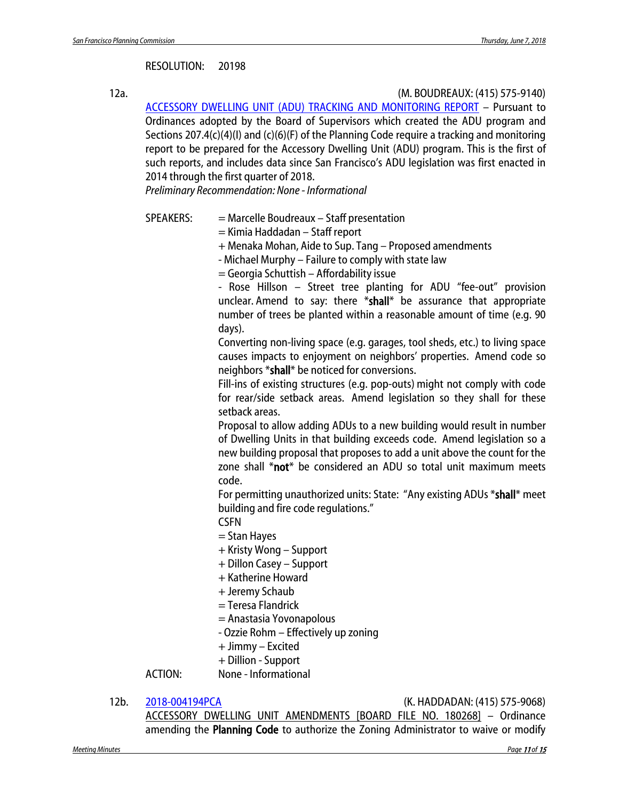#### RESOLUTION: 20198

12a. (M. BOUDREAUX: (415) 575-9140)

[ACCESSORY DWELLING UNIT \(ADU\)](http://commissions.sfplanning.org/cpcpackets/ADU%20Tracking060718.pdf) TRACKING AND MONITORING REPORT – Pursuant to Ordinances adopted by the Board of Supervisors which created the ADU program and Sections 207.4(c)(4)(I) and (c)(6)(F) of the Planning Code require a tracking and monitoring report to be prepared for the Accessory Dwelling Unit (ADU) program. This is the first of such reports, and includes data since San Francisco's ADU legislation was first enacted in 2014 through the first quarter of 2018.

*Preliminary Recommendation: None - Informational*

- SPEAKERS: = Marcelle Boudreaux Staff presentation
	- = Kimia Haddadan Staff report
	- + Menaka Mohan, Aide to Sup. Tang Proposed amendments
	- Michael Murphy Failure to comply with state law

= Georgia Schuttish – Affordability issue

- Rose Hillson – Street tree planting for ADU "fee-out" provision unclear. Amend to say: there \*shall\* be assurance that appropriate number of trees be planted within a reasonable amount of time (e.g. 90 days).

Converting non-living space (e.g. garages, tool sheds, etc.) to living space causes impacts to enjoyment on neighbors' properties. Amend code so neighbors \*shall\* be noticed for conversions.

Fill-ins of existing structures (e.g. pop-outs) might not comply with code for rear/side setback areas. Amend legislation so they shall for these setback areas.

Proposal to allow adding ADUs to a new building would result in number of Dwelling Units in that building exceeds code. Amend legislation so a new building proposal that proposes to add a unit above the count for the zone shall \*not\* be considered an ADU so total unit maximum meets code.

For permitting unauthorized units: State: "Any existing ADUs \*shall\* meet building and fire code regulations."

CSFN

- = Stan Hayes
- + Kristy Wong Support
- + Dillon Casey Support
- + Katherine Howard
- + Jeremy Schaub
- = Teresa Flandrick
- = Anastasia Yovonapolous

- Ozzie Rohm – Effectively up zoning

- + Jimmy Excited
- + Dillion Support

ACTION: None - Informational

12b. [2018-004194PCA](http://commissions.sfplanning.org/cpcpackets/2018-004194PCA.pdf) (K. HADDADAN: (415) 575-9068)

ACCESSORY DWELLING UNIT AMENDMENTS [BOARD FILE NO. 180268] – Ordinance amending the Planning Code to authorize the Zoning Administrator to waive or modify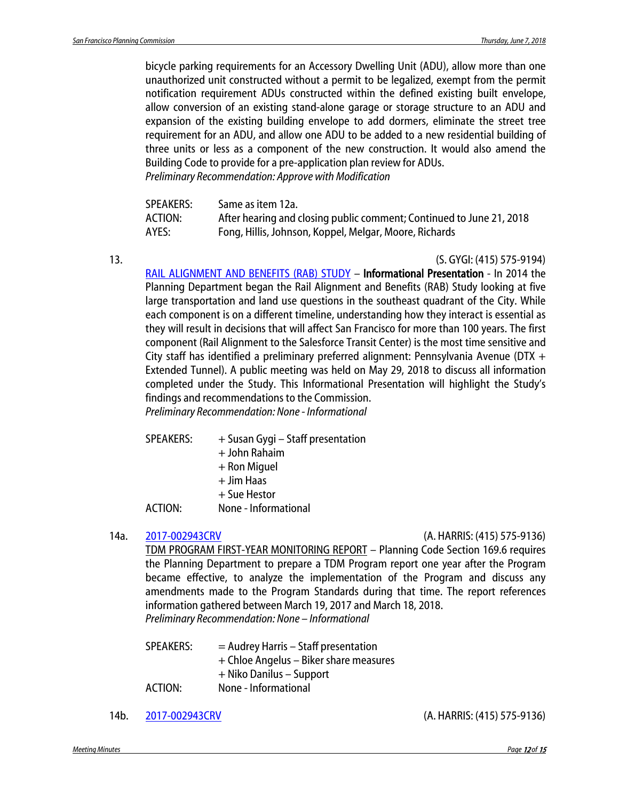bicycle parking requirements for an Accessory Dwelling Unit (ADU), allow more than one unauthorized unit constructed without a permit to be legalized, exempt from the permit notification requirement ADUs constructed within the defined existing built envelope, allow conversion of an existing stand-alone garage or storage structure to an ADU and expansion of the existing building envelope to add dormers, eliminate the street tree requirement for an ADU, and allow one ADU to be added to a new residential building of three units or less as a component of the new construction. It would also amend the Building Code to provide for a pre-application plan review for ADUs. *Preliminary Recommendation: Approve with Modification* 

| SPEAKERS: | Same as item 12a.                                                    |
|-----------|----------------------------------------------------------------------|
| ACTION:   | After hearing and closing public comment; Continued to June 21, 2018 |
| AYES:     | Fong, Hillis, Johnson, Koppel, Melgar, Moore, Richards               |

13. (S. GYGI: (415) 575-9194) [RAIL ALIGNMENT AND BENEFITS \(RAB\) STUDY](http://commissions.sfplanning.org/cpcpackets/RAB_20180518.pdf) – Informational Presentation - In 2014 the Planning Department began the Rail Alignment and Benefits (RAB) Study looking at five large transportation and land use questions in the southeast quadrant of the City. While each component is on a different timeline, understanding how they interact is essential as they will result in decisions that will affect San Francisco for more than 100 years. The first component (Rail Alignment to the Salesforce Transit Center) is the most time sensitive and City staff has identified a preliminary preferred alignment: Pennsylvania Avenue (DTX + Extended Tunnel). A public meeting was held on May 29, 2018 to discuss all information completed under the Study. This Informational Presentation will highlight the Study's

findings and recommendations to the Commission. *Preliminary Recommendation: None - Informational*

- SPEAKERS: + Susan Gygi Staff presentation
	- + John Rahaim
	- + Ron Miguel
	- + Jim Haas
	- + Sue Hestor
- ACTION: None Informational
- 

#### 14a. [2017-002943CRV](http://commissions.sfplanning.org/cpcpackets/2017-002943CRV.pdf) (A. HARRIS: (415) 575-9136)

TDM PROGRAM FIRST-YEAR MONITORING REPORT – Planning Code Section 169.6 requires the Planning Department to prepare a TDM Program report one year after the Program became effective, to analyze the implementation of the Program and discuss any amendments made to the Program Standards during that time. The report references information gathered between March 19, 2017 and March 18, 2018. *Preliminary Recommendation: None – Informational*

 $SPEAKERS: = Audrey Harris - Staff presentation$ + Chloe Angelus – Biker share measures + Niko Danilus – Support ACTION: None - Informational

14b. [2017-002943CRV](http://commissions.sfplanning.org/cpcpackets/2017-002943CRV.pdf) (A. HARRIS: (415) 575-9136)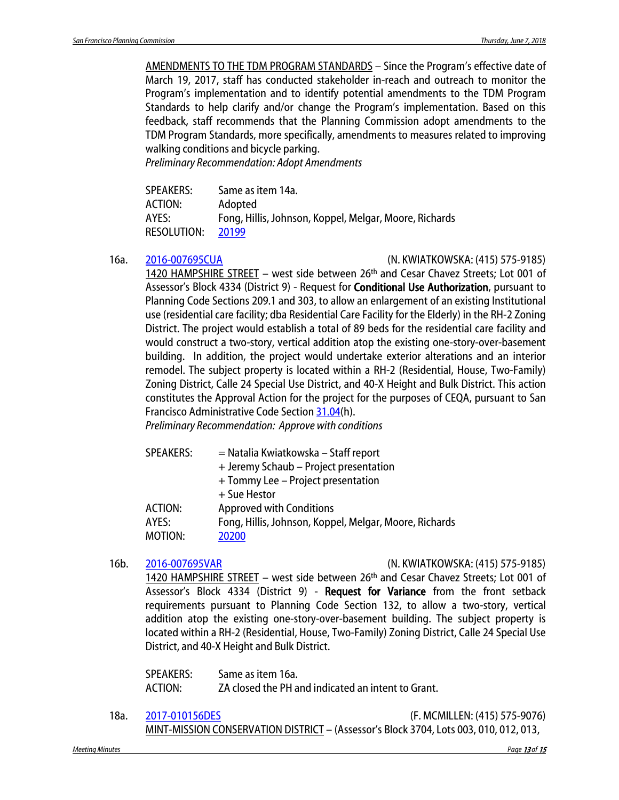AMENDMENTS TO THE TDM PROGRAM STANDARDS – Since the Program's effective date of March 19, 2017, staff has conducted stakeholder in-reach and outreach to monitor the Program's implementation and to identify potential amendments to the TDM Program Standards to help clarify and/or change the Program's implementation. Based on this feedback, staff recommends that the Planning Commission adopt amendments to the TDM Program Standards, more specifically, amendments to measures related to improving walking conditions and bicycle parking.

*Preliminary Recommendation: Adopt Amendments*

| <b>SPEAKERS:</b>   | Same as item 14a.                                      |
|--------------------|--------------------------------------------------------|
| ACTION:            | Adopted                                                |
| AYES:              | Fong, Hillis, Johnson, Koppel, Melgar, Moore, Richards |
| <b>RESOLUTION:</b> | 20199                                                  |

16a. [2016-007695CUA](http://commissions.sfplanning.org/cpcpackets/2016-007695CUAVAR.pdf) (N. KWIATKOWSKA: (415) 575-9185)

1420 HAMPSHIRE STREET – west side between 26th and Cesar Chavez Streets; Lot 001 of Assessor's Block 4334 (District 9) - Request for Conditional Use Authorization, pursuant to Planning Code Sections 209.1 and 303, to allow an enlargement of an existing Institutional use (residential care facility; dba Residential Care Facility for the Elderly) in the RH-2 Zoning District. The project would establish a total of 89 beds for the residential care facility and would construct a two-story, vertical addition atop the existing one-story-over-basement building. In addition, the project would undertake exterior alterations and an interior remodel. The subject property is located within a RH-2 (Residential, House, Two-Family) Zoning District, Calle 24 Special Use District, and 40-X Height and Bulk District. This action constitutes the Approval Action for the project for the purposes of CEQA, pursuant to San Francisco Administrative Code Section [31.04\(](http://library.amlegal.com/nxt/gateway.dll/California/administrative/chapter31californiaenvironmentalqualitya?f=templates$fn=default.htm$3.0$vid=amlegal:sanfrancisco_ca$anc=JD_31.04)h).

*Preliminary Recommendation: Approve with conditions*

| <b>SPEAKERS:</b> | = Natalia Kwiatkowska – Staff report                   |
|------------------|--------------------------------------------------------|
|                  | + Jeremy Schaub - Project presentation                 |
|                  | + Tommy Lee - Project presentation                     |
|                  | + Sue Hestor                                           |
| ACTION:          | <b>Approved with Conditions</b>                        |
| AYES:            | Fong, Hillis, Johnson, Koppel, Melgar, Moore, Richards |
| MOTION:          | 20200                                                  |

16b. [2016-007695VAR](http://commissions.sfplanning.org/cpcpackets/2016-007695CUAVAR.pdf) (N. KWIATKOWSKA: (415) 575-9185) 1420 HAMPSHIRE STREET – west side between 26th and Cesar Chavez Streets; Lot 001 of Assessor's Block 4334 (District 9) - Request for Variance from the front setback requirements pursuant to Planning Code Section 132, to allow a two-story, vertical addition atop the existing one-story-over-basement building. The subject property is located within a RH-2 (Residential, House, Two-Family) Zoning District, Calle 24 Special Use District, and 40-X Height and Bulk District.

SPEAKERS: Same as item 16a. ACTION: ZA closed the PH and indicated an intent to Grant.

18a. [2017-010156DES](http://commissions.sfplanning.org/cpcpackets/2017-010156DESc1.pdf) (F. MCMILLEN: (415) 575-9076) MINT-MISSION CONSERVATION DISTRICT – (Assessor's Block 3704, Lots 003, 010, 012, 013,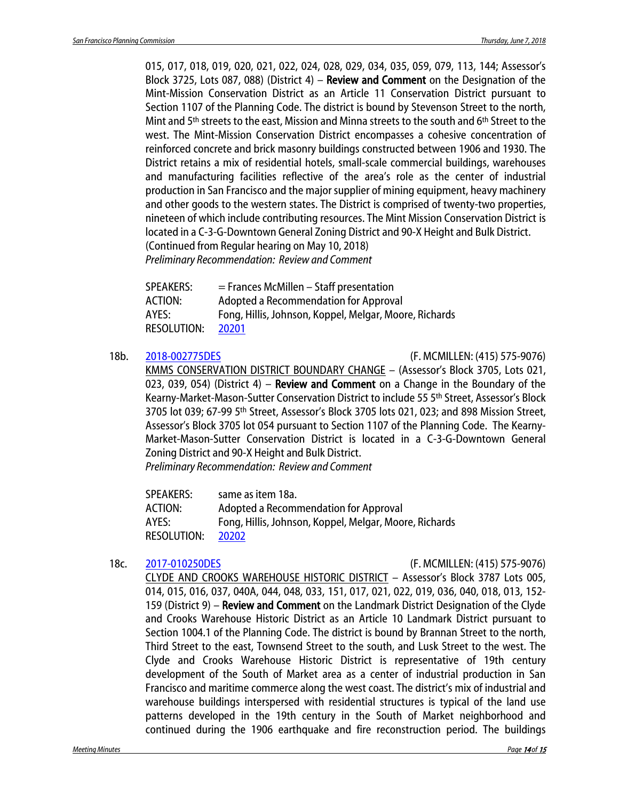015, 017, 018, 019, 020, 021, 022, 024, 028, 029, 034, 035, 059, 079, 113, 144; Assessor's Block 3725, Lots 087, 088) (District 4) – Review and Comment on the Designation of the Mint-Mission Conservation District as an Article 11 Conservation District pursuant to Section 1107 of the Planning Code. The district is bound by Stevenson Street to the north, Mint and 5<sup>th</sup> streets to the east, Mission and Minna streets to the south and 6<sup>th</sup> Street to the west. The Mint-Mission Conservation District encompasses a cohesive concentration of reinforced concrete and brick masonry buildings constructed between 1906 and 1930. The District retains a mix of residential hotels, small-scale commercial buildings, warehouses and manufacturing facilities reflective of the area's role as the center of industrial production in San Francisco and the major supplier of mining equipment, heavy machinery and other goods to the western states. The District is comprised of twenty-two properties, nineteen of which include contributing resources. The Mint Mission Conservation District is located in a C-3-G-Downtown General Zoning District and 90-X Height and Bulk District. (Continued from Regular hearing on May 10, 2018) *Preliminary Recommendation: Review and Comment*

SPEAKERS: = Frances McMillen – Staff presentation ACTION: Adopted a Recommendation for Approval AYES: Fong, Hillis, Johnson, Koppel, Melgar, Moore, Richards RESOLUTION: [20201](http://citypln-m-extnl.sfgov.org/link.ashx?Action=Download&ObjectVersion=-1&vault=%7bA4A7DACD-B0DC-4322-BD29-F6F07103C6E0%7d&objectGUID=%7b732E4B07-8244-43A4-BB41-A72A8B0FB3D1%7d&fileGUID=%7b030E4D13-145E-448C-B5EA-E00BA4C9436A%7d)

18b. [2018-002775DES](http://commissions.sfplanning.org/cpcpackets/2018-002775DESc1.pdf) (F. MCMILLEN: (415) 575-9076)

KMMS CONSERVATION DISTRICT BOUNDARY CHANGE – (Assessor's Block 3705, Lots 021, 023, 039, 054) (District 4) – Review and Comment on a Change in the Boundary of the Kearny-Market-Mason-Sutter Conservation District to include 55 5th Street, Assessor's Block 3705 lot 039; 67-99 5th Street, Assessor's Block 3705 lots 021, 023; and 898 Mission Street, Assessor's Block 3705 lot 054 pursuant to Section 1107 of the Planning Code. The Kearny-Market-Mason-Sutter Conservation District is located in a C-3-G-Downtown General Zoning District and 90-X Height and Bulk District.

*Preliminary Recommendation: Review and Comment*

| <b>SPEAKERS:</b>   | same as item 18a.                                      |
|--------------------|--------------------------------------------------------|
| ACTION:            | Adopted a Recommendation for Approval                  |
| AYES:              | Fong, Hillis, Johnson, Koppel, Melgar, Moore, Richards |
| <b>RESOLUTION:</b> | 20202                                                  |

18c. [2017-010250DES](http://commissions.sfplanning.org/cpcpackets/2017-010250DESc1.pdf) (F. MCMILLEN: (415) 575-9076)

CLYDE AND CROOKS WAREHOUSE HISTORIC DISTRICT – Assessor's Block 3787 Lots 005, 014, 015, 016, 037, 040A, 044, 048, 033, 151, 017, 021, 022, 019, 036, 040, 018, 013, 152- 159 (District 9) - Review and Comment on the Landmark District Designation of the Clyde and Crooks Warehouse Historic District as an Article 10 Landmark District pursuant to Section 1004.1 of the Planning Code. The district is bound by Brannan Street to the north, Third Street to the east, Townsend Street to the south, and Lusk Street to the west. The Clyde and Crooks Warehouse Historic District is representative of 19th century development of the South of Market area as a center of industrial production in San Francisco and maritime commerce along the west coast. The district's mix of industrial and warehouse buildings interspersed with residential structures is typical of the land use patterns developed in the 19th century in the South of Market neighborhood and continued during the 1906 earthquake and fire reconstruction period. The buildings